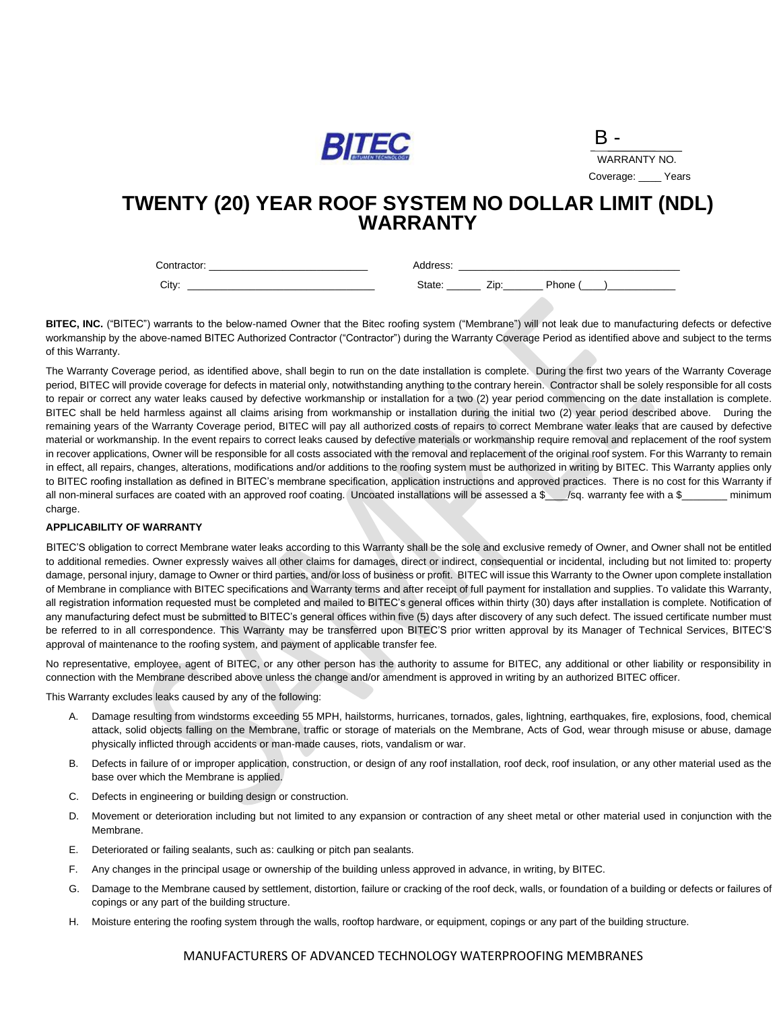

| K<br>-             |
|--------------------|
| WARRANTY NO.       |
| Years<br>Coverage: |

# **TWENTY (20) YEAR ROOF SYSTEM NO DOLLAR LIMIT (NDL) WARRANTY**

Contractor: example and the contractor: example and the contractor: example and the contractor: example and the contractor: example and the contractor: example and the contractor: example and the contractor: example and th

City: \_\_\_\_\_\_\_\_\_\_\_\_\_\_\_\_\_\_\_\_\_\_\_\_\_\_\_\_\_\_\_\_\_ State: \_\_\_\_\_\_ Zip:\_\_\_\_\_\_\_ Phone (\_\_\_\_)\_\_\_\_\_\_\_\_\_\_\_\_

**BITEC, INC.** ("BITEC") warrants to the below-named Owner that the Bitec roofing system ("Membrane") will not leak due to manufacturing defects or defective workmanship by the above-named BITEC Authorized Contractor ("Contractor") during the Warranty Coverage Period as identified above and subject to the terms of this Warranty.

The Warranty Coverage period, as identified above, shall begin to run on the date installation is complete. During the first two years of the Warranty Coverage period, BITEC will provide coverage for defects in material only, notwithstanding anything to the contrary herein. Contractor shall be solely responsible for all costs to repair or correct any water leaks caused by defective workmanship or installation for a two (2) year period commencing on the date installation is complete. BITEC shall be held harmless against all claims arising from workmanship or installation during the initial two (2) year period described above. During the remaining years of the Warranty Coverage period, BITEC will pay all authorized costs of repairs to correct Membrane water leaks that are caused by defective material or workmanship. In the event repairs to correct leaks caused by defective materials or workmanship require removal and replacement of the roof system in recover applications, Owner will be responsible for all costs associated with the removal and replacement of the original roof system. For this Warranty to remain in effect, all repairs, changes, alterations, modifications and/or additions to the roofing system must be authorized in writing by BITEC. This Warranty applies only to BITEC roofing installation as defined in BITEC's membrane specification, application instructions and approved practices. There is no cost for this Warranty if all non-mineral surfaces are coated with an approved roof coating. Uncoated installations will be assessed a \$\_\_\_/sq. warranty fee with a \$\_\_\_\_\_\_\_\_ minimum charge.

#### **APPLICABILITY OF WARRANTY**

BITEC'S obligation to correct Membrane water leaks according to this Warranty shall be the sole and exclusive remedy of Owner, and Owner shall not be entitled to additional remedies. Owner expressly waives all other claims for damages, direct or indirect, consequential or incidental, including but not limited to: property damage, personal injury, damage to Owner or third parties, and/or loss of business or profit. BITEC will issue this Warranty to the Owner upon complete installation of Membrane in compliance with BITEC specifications and Warranty terms and after receipt of full payment for installation and supplies. To validate this Warranty, all registration information requested must be completed and mailed to BITEC's general offices within thirty (30) days after installation is complete. Notification of any manufacturing defect must be submitted to BITEC's general offices within five (5) days after discovery of any such defect. The issued certificate number must be referred to in all correspondence. This Warranty may be transferred upon BITEC'S prior written approval by its Manager of Technical Services, BITEC'S approval of maintenance to the roofing system, and payment of applicable transfer fee.

No representative, employee, agent of BITEC, or any other person has the authority to assume for BITEC, any additional or other liability or responsibility in connection with the Membrane described above unless the change and/or amendment is approved in writing by an authorized BITEC officer.

This Warranty excludes leaks caused by any of the following:

- A. Damage resulting from windstorms exceeding 55 MPH, hailstorms, hurricanes, tornados, gales, lightning, earthquakes, fire, explosions, food, chemical attack, solid objects falling on the Membrane, traffic or storage of materials on the Membrane, Acts of God, wear through misuse or abuse, damage physically inflicted through accidents or man-made causes, riots, vandalism or war.
- B. Defects in failure of or improper application, construction, or design of any roof installation, roof deck, roof insulation, or any other material used as the base over which the Membrane is applied.
- C. Defects in engineering or building design or construction.
- D. Movement or deterioration including but not limited to any expansion or contraction of any sheet metal or other material used in conjunction with the Membrane.
- E. Deteriorated or failing sealants, such as: caulking or pitch pan sealants.
- F. Any changes in the principal usage or ownership of the building unless approved in advance, in writing, by BITEC.
- G. Damage to the Membrane caused by settlement, distortion, failure or cracking of the roof deck, walls, or foundation of a building or defects or failures of copings or any part of the building structure.
- H. Moisture entering the roofing system through the walls, rooftop hardware, or equipment, copings or any part of the building structure.

# MANUFACTURERS OF ADVANCED TECHNOLOGY WATERPROOFING MEMBRANES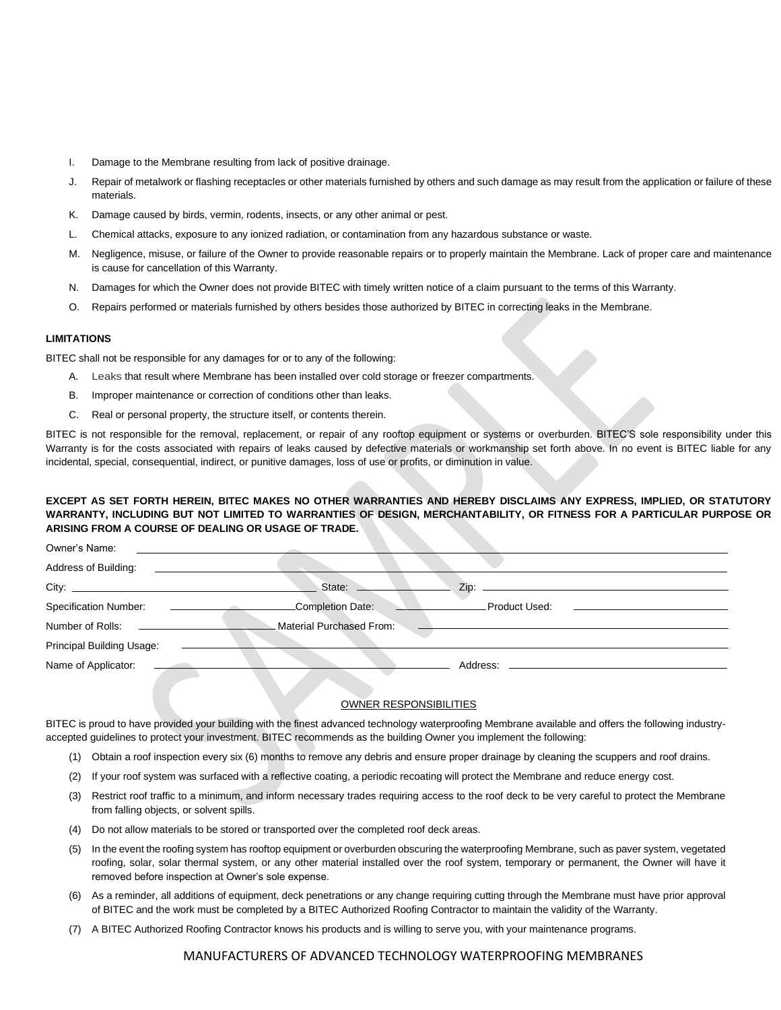- I. Damage to the Membrane resulting from lack of positive drainage.
- J. Repair of metalwork or flashing receptacles or other materials furnished by others and such damage as may result from the application or failure of these materials.
- K. Damage caused by birds, vermin, rodents, insects, or any other animal or pest.
- L. Chemical attacks, exposure to any ionized radiation, or contamination from any hazardous substance or waste.
- M. Negligence, misuse, or failure of the Owner to provide reasonable repairs or to properly maintain the Membrane. Lack of proper care and maintenance is cause for cancellation of this Warranty.
- N. Damages for which the Owner does not provide BITEC with timely written notice of a claim pursuant to the terms of this Warranty.
- O. Repairs performed or materials furnished by others besides those authorized by BITEC in correcting leaks in the Membrane.

## **LIMITATIONS**

BITEC shall not be responsible for any damages for or to any of the following:

- A. Leaks that result where Membrane has been installed over cold storage or freezer compartments.
- B. Improper maintenance or correction of conditions other than leaks.
- C. Real or personal property, the structure itself, or contents therein.

BITEC is not responsible for the removal, replacement, or repair of any rooftop equipment or systems or overburden. BITEC'S sole responsibility under this Warranty is for the costs associated with repairs of leaks caused by defective materials or workmanship set forth above. In no event is BITEC liable for any incidental, special, consequential, indirect, or punitive damages, loss of use or profits, or diminution in value.

### **EXCEPT AS SET FORTH HEREIN, BITEC MAKES NO OTHER WARRANTIES AND HEREBY DISCLAIMS ANY EXPRESS, IMPLIED, OR STATUTORY WARRANTY, INCLUDING BUT NOT LIMITED TO WARRANTIES OF DESIGN, MERCHANTABILITY, OR FITNESS FOR A PARTICULAR PURPOSE OR ARISING FROM A COURSE OF DEALING OR USAGE OF TRADE.**

| Owner's Name:             |                          |                       |
|---------------------------|--------------------------|-----------------------|
| Address of Building:      |                          |                       |
|                           | State:                   | Zip:                  |
| Specification Number:     | Completion Date:         | Product Used:         |
| Number of Rolls:          | Material Purchased From: |                       |
| Principal Building Usage: |                          |                       |
| Name of Applicator:       |                          | Address: ____________ |

#### OWNER RESPONSIBILITIES

BITEC is proud to have provided your building with the finest advanced technology waterproofing Membrane available and offers the following industryaccepted guidelines to protect your investment. BITEC recommends as the building Owner you implement the following:

- (1) Obtain a roof inspection every six (6) months to remove any debris and ensure proper drainage by cleaning the scuppers and roof drains.
- (2) If your roof system was surfaced with a reflective coating, a periodic recoating will protect the Membrane and reduce energy cost.
- (3) Restrict roof traffic to a minimum, and inform necessary trades requiring access to the roof deck to be very careful to protect the Membrane from falling objects, or solvent spills.
- (4) Do not allow materials to be stored or transported over the completed roof deck areas.
- (5) In the event the roofing system has rooftop equipment or overburden obscuring the waterproofing Membrane, such as paver system, vegetated roofing, solar, solar thermal system, or any other material installed over the roof system, temporary or permanent, the Owner will have it removed before inspection at Owner's sole expense.
- (6) As a reminder, all additions of equipment, deck penetrations or any change requiring cutting through the Membrane must have prior approval of BITEC and the work must be completed by a BITEC Authorized Roofing Contractor to maintain the validity of the Warranty.
- (7) A BITEC Authorized Roofing Contractor knows his products and is willing to serve you, with your maintenance programs.

### MANUFACTURERS OF ADVANCED TECHNOLOGY WATERPROOFING MEMBRANES